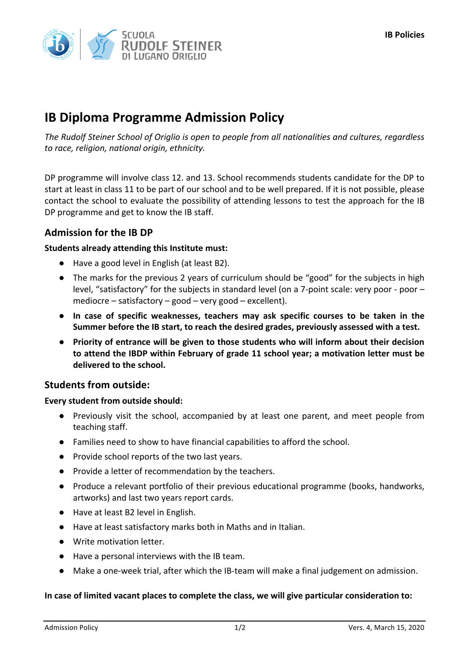# **IB Diploma Programme Admission Policy**

The Rudolf Steiner School of Origlio is open to people from all nationalities and cultures, regardless *to race, religion, national origin, ethnicity.*

DP programme will involve class 12. and 13. School recommends students candidate for the DP to start at least in class 11 to be part of our school and to be well prepared. If it is not possible, please contact the school to evaluate the possibility of attending lessons to test the approach for the IB DP programme and get to know the IB staff.

## **Admission for the IB DP**

### **Students already attending this Institute must:**

- Have a good level in English (at least B2).
- The marks for the previous 2 years of curriculum should be "good" for the subjects in high level, "satisfactory" for the subjects in standard level (on a 7-point scale: very poor - poor  $$ mediocre – satisfactory – good – very good – excellent).
- **In case of specific weaknesses, teachers may ask specific courses to be taken in the** Summer before the IB start, to reach the desired grades, previously assessed with a test.
- Priority of entrance will be given to those students who will inform about their decision to attend the IBDP within February of grade 11 school year; a motivation letter must be delivered to the school.

## **Students from outside:**

#### **Every student from outside should:**

- Previously visit the school, accompanied by at least one parent, and meet people from teaching staff.
- Families need to show to have financial capabilities to afford the school.
- Provide school reports of the two last years.
- Provide a letter of recommendation by the teachers.
- Produce a relevant portfolio of their previous educational programme (books, handworks, artworks) and last two years report cards.
- Have at least B2 level in English.
- Have at least satisfactory marks both in Maths and in Italian.
- Write motivation letter.
- Have a personal interviews with the IB team.
- Make a one-week trial, after which the IB-team will make a final judgement on admission.

#### In case of limited vacant places to complete the class, we will give particular consideration to: